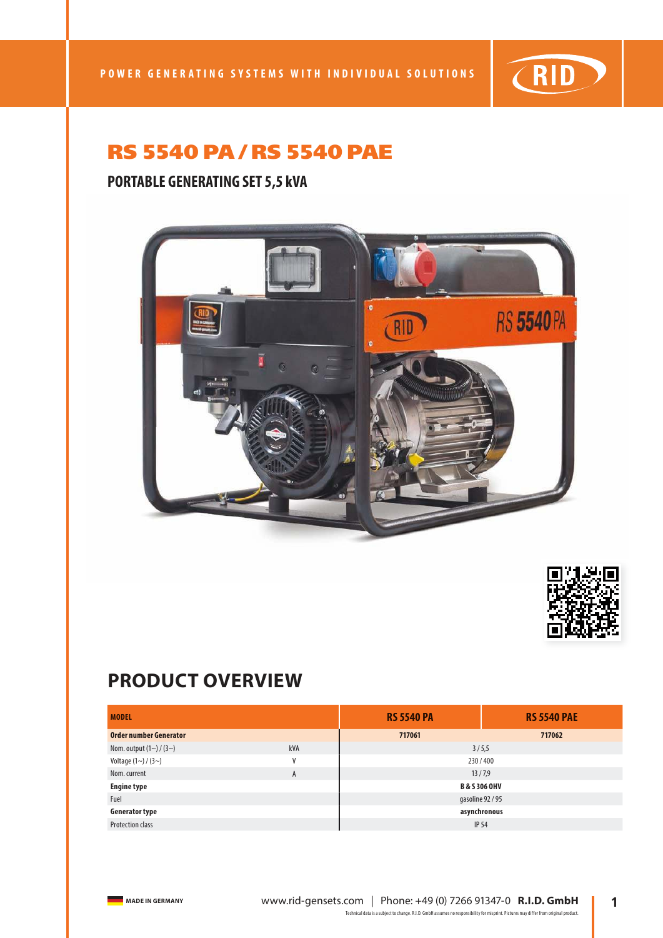

### **PORTABLE GENERATING SET 5,5 kVA**





# **PRODUCT OVERVIEW**

| <b>MODEL</b>            |     | <b>RS 5540 PA</b>        | <b>RS 5540 PAE</b> |
|-------------------------|-----|--------------------------|--------------------|
| Order number Generator  |     | 717061                   | 717062             |
| Nom. output $(1~)(3~)$  | kVA | 3/5,5                    |                    |
| Voltage $(1~)(3~)$      | V   | 230/400                  |                    |
| Nom. current            | A   | 13/7,9                   |                    |
| <b>Engine type</b>      |     | <b>B &amp; S 306 OHV</b> |                    |
| Fuel                    |     | gasoline 92 / 95         |                    |
| <b>Generator type</b>   |     | asynchronous             |                    |
| <b>Protection class</b> |     | <b>IP 54</b>             |                    |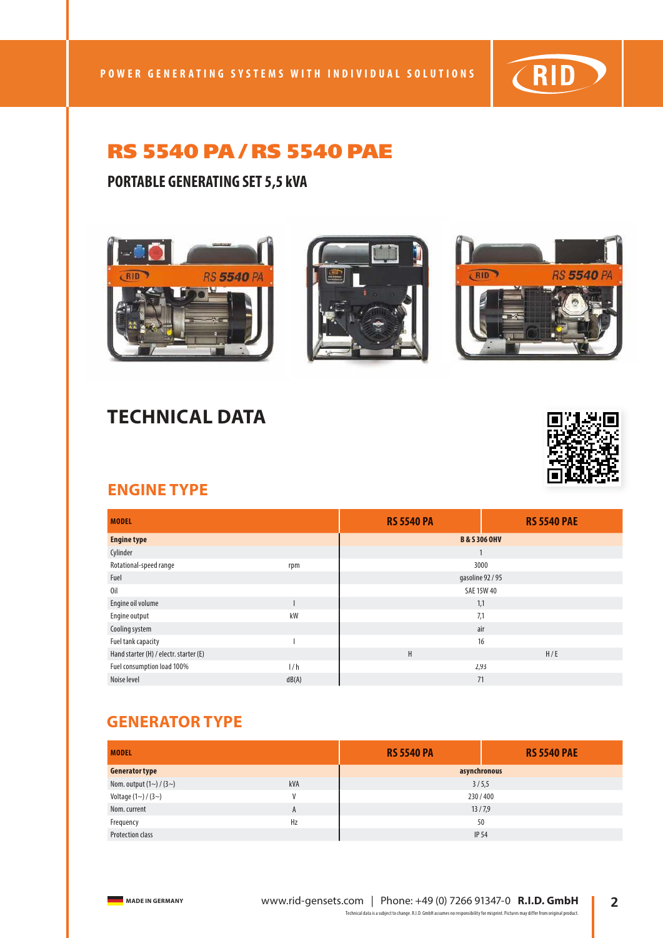

#### **PORTABLE GENERATING SET 5,5 kVA**







# **TECHNICAL DATA**



#### **ENGINE TYPE**

| <b>MODEL</b>                           |       | <b>RS 5540 PA</b>        | <b>RS 5540 PAE</b> |  |
|----------------------------------------|-------|--------------------------|--------------------|--|
| <b>Engine type</b>                     |       | <b>B &amp; S 306 OHV</b> |                    |  |
| Cylinder                               |       | 1                        |                    |  |
| Rotational-speed range                 | rpm   | 3000                     |                    |  |
| Fuel                                   |       | gasoline 92 / 95         |                    |  |
| 0il                                    |       | <b>SAE 15W 40</b>        |                    |  |
| Engine oil volume                      |       | 1,1                      |                    |  |
| Engine output                          | kW    | 7,1                      |                    |  |
| Cooling system                         |       | air                      |                    |  |
| Fuel tank capacity                     |       | 16                       |                    |  |
| Hand starter (H) / electr. starter (E) |       | H<br>H/E                 |                    |  |
| Fuel consumption load 100%             | 1/h   | 2,93                     |                    |  |
| Noise level                            | dB(A) | 71                       |                    |  |

#### **GENERATOR TYPE**

| <b>MODEL</b>            |              | <b>RS 5540 PA</b> | <b>RS 5540 PAE</b> |
|-------------------------|--------------|-------------------|--------------------|
| <b>Generator type</b>   |              | asynchronous      |                    |
| Nom. output $(1~)(3~)$  | kVA          | 3/5,5             |                    |
| Voltage $(1~)(3~)$      | $\mathsf{V}$ | 230/400           |                    |
| Nom. current            | A            | 13/7,9            |                    |
| Frequency               | Hz           | 50                |                    |
| <b>Protection class</b> |              | <b>IP 54</b>      |                    |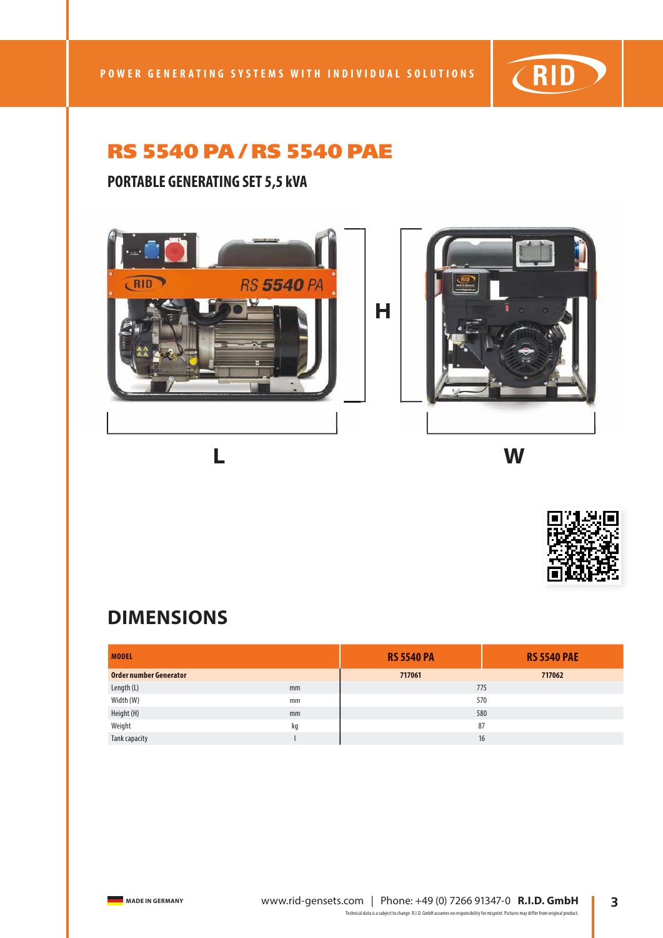

## **PORTABLE GENERATING SET 5,5 kVA**





## **DIMENSIONS**

| <b>MODEL</b>           |    | <b>RS 5540 PA</b> | <b>RS 5540 PAE</b> |
|------------------------|----|-------------------|--------------------|
| Order number Generator |    | 717061            | 717062             |
| Length (L)             | mm | 775               |                    |
| Width (W)              | mm | 570               |                    |
| Height (H)             | mm | 580               |                    |
| Weight                 | kq | 87                |                    |
| Tank capacity          |    | 16                |                    |